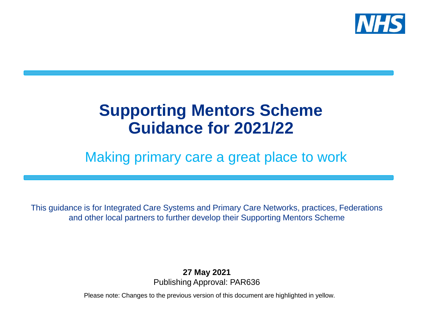

### **Supporting Mentors Scheme Guidance for 2021/22**

### Making primary care a great place to work

This guidance is for Integrated Care Systems and Primary Care Networks, practices, Federations and other local partners to further develop their Supporting Mentors Scheme

> **27 May 2021** Publishing Approval: PAR636

Please note: Changes to the previous version of this document are highlighted in yellow.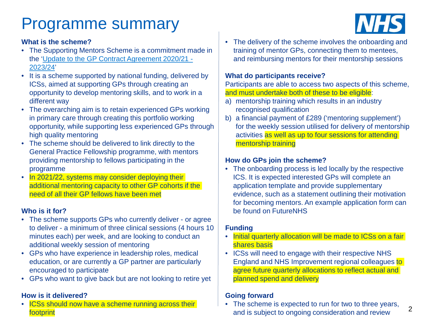### Programme summary

#### **What is the scheme?**

- The Supporting Mentors Scheme is a commitment made in [the 'Update to the GP Contract Agreement 2020/21 -](https://www.england.nhs.uk/wp-content/uploads/2020/03/update-to-the-gp-contract-agreement-v2-updated.pdf) 2023/24'
- It is a scheme supported by national funding, delivered by ICSs, aimed at supporting GPs through creating an opportunity to develop mentoring skills, and to work in a different way
- The overarching aim is to retain experienced GPs working in primary care through creating this portfolio working opportunity, while supporting less experienced GPs through high quality mentoring
- The scheme should be delivered to link directly to the General Practice Fellowship programme, with mentors providing mentorship to fellows participating in the programme
- In 2021/22, systems may consider deploying their additional mentoring capacity to other GP cohorts if the need of all their GP fellows have been met

#### **Who is it for?**

- The scheme supports GPs who currently deliver or agree to deliver - a minimum of three clinical sessions (4 hours 10 minutes each) per week, and are looking to conduct an additional weekly session of mentoring
- GPs who have experience in leadership roles, medical education, or are currently a GP partner are particularly encouraged to participate
- GPs who want to give back but are not looking to retire yet

#### **How is it delivered?**

ICSs should now have a scheme running across their footprint

• The delivery of the scheme involves the onboarding and training of mentor GPs, connecting them to mentees, and reimbursing mentors for their mentorship sessions

#### **What do participants receive?**

Participants are able to access two aspects of this scheme, and must undertake both of these to be eligible:

- a) mentorship training which results in an industry recognised qualification
- b) a financial payment of £289 ('mentoring supplement') for the weekly session utilised for delivery of mentorship activities as well as up to four sessions for attending mentorship training

#### **How do GPs join the scheme?**

• The onboarding process is led locally by the respective ICS. It is expected interested GPs will complete an application template and provide supplementary evidence, such as a statement outlining their motivation for becoming mentors. An example application form can be found on FutureNHS

#### **Funding**

- Initial quarterly allocation will be made to ICSs on a fair shares basis
- ICSs will need to engage with their respective NHS England and NHS Improvement regional colleagues to agree future quarterly allocations to reflect actual and planned spend and delivery

#### **Going forward**

• The scheme is expected to run for two to three years, and is subject to ongoing consideration and review



2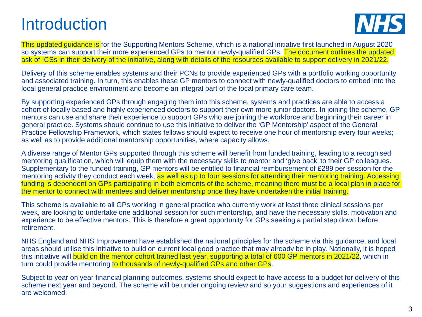### Introduction



This updated guidance is for the Supporting Mentors Scheme, which is a national initiative first launched in August 2020 so systems can support their more experienced GPs to mentor newly-qualified GPs. The document outlines the updated ask of ICSs in their delivery of the initiative, along with details of the resources available to support delivery in 2021/22.

Delivery of this scheme enables systems and their PCNs to provide experienced GPs with a portfolio working opportunity and associated training. In turn, this enables these GP mentors to connect with newly-qualified doctors to embed into the local general practice environment and become an integral part of the local primary care team.

By supporting experienced GPs through engaging them into this scheme, systems and practices are able to access a cohort of locally based and highly experienced doctors to support their own more junior doctors. In joining the scheme, GP mentors can use and share their experience to support GPs who are joining the workforce and beginning their career in general practice. Systems should continue to use this initiative to deliver the 'GP Mentorship' aspect of the General Practice Fellowship Framework, which states fellows should expect to receive one hour of mentorship every four weeks; as well as to provide additional mentorship opportunities, where capacity allows.

A diverse range of Mentor GPs supported through this scheme will benefit from funded training, leading to a recognised mentoring qualification, which will equip them with the necessary skills to mentor and 'give back' to their GP colleagues. Supplementary to the funded training, GP mentors will be entitled to financial reimbursement of £289 per session for the mentoring activity they conduct each week, as well as up to four sessions for attending their mentoring training. Accessing funding is dependent on GPs participating in both elements of the scheme, meaning there must be a local plan in place for the mentor to connect with mentees and deliver mentorship once they have undertaken the initial training.

This scheme is available to all GPs working in general practice who currently work at least three clinical sessions per week, are looking to undertake one additional session for such mentorship, and have the necessary skills, motivation and experience to be effective mentors. This is therefore a great opportunity for GPs seeking a partial step down before retirement.

NHS England and NHS Improvement have established the national principles for the scheme via this guidance, and local areas should utilise this initiative to build on current local good practice that may already be in play. Nationally, it is hoped this initiative will build on the mentor cohort trained last year, supporting a total of 600 GP mentors in 2021/22, which in turn could provide mentoring to thousands of newly-qualified GPs and other GPs.

Subject to year on year financial planning outcomes, systems should expect to have access to a budget for delivery of this scheme next year and beyond. The scheme will be under ongoing review and so your suggestions and experiences of it are welcomed.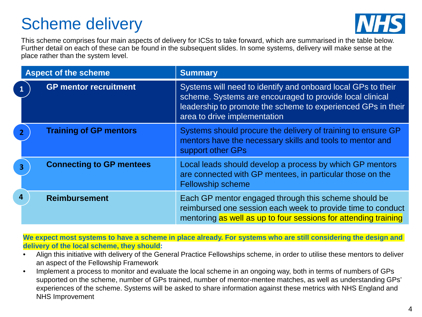### Scheme delivery



This scheme comprises four main aspects of delivery for ICSs to take forward, which are summarised in the table below. Further detail on each of these can be found in the subsequent slides. In some systems, delivery will make sense at the place rather than the system level.

|   | <b>Aspect of the scheme</b>     | <b>Summary</b>                                                                                                                                                                                                           |
|---|---------------------------------|--------------------------------------------------------------------------------------------------------------------------------------------------------------------------------------------------------------------------|
|   | <b>GP mentor recruitment</b>    | Systems will need to identify and onboard local GPs to their<br>scheme. Systems are encouraged to provide local clinical<br>leadership to promote the scheme to experienced GPs in their<br>area to drive implementation |
|   | <b>Training of GP mentors</b>   | Systems should procure the delivery of training to ensure GP<br>mentors have the necessary skills and tools to mentor and<br>support other GPs                                                                           |
|   | <b>Connecting to GP mentees</b> | Local leads should develop a process by which GP mentors<br>are connected with GP mentees, in particular those on the<br><b>Fellowship scheme</b>                                                                        |
| 4 | <b>Reimbursement</b>            | Each GP mentor engaged through this scheme should be<br>reimbursed one session each week to provide time to conduct<br>mentoring as well as up to four sessions for attending training                                   |

**We expect most systems to have a scheme in place already. For systems who are still considering the design and delivery of the local scheme, they should:**

- Align this initiative with delivery of the General Practice Fellowships scheme, in order to utilise these mentors to deliver an aspect of the Fellowship Framework
- Implement a process to monitor and evaluate the local scheme in an ongoing way, both in terms of numbers of GPs supported on the scheme, number of GPs trained, number of mentor-mentee matches, as well as understanding GPs' experiences of the scheme. Systems will be asked to share information against these metrics with NHS England and NHS Improvement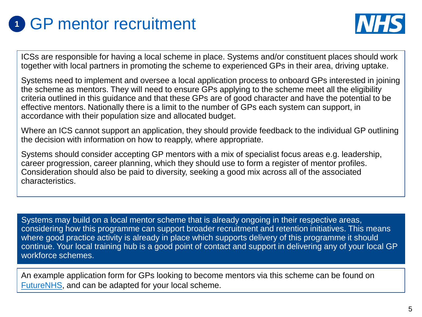



ICSs are responsible for having a local scheme in place. Systems and/or constituent places should work together with local partners in promoting the scheme to experienced GPs in their area, driving uptake.

Systems need to implement and oversee a local application process to onboard GPs interested in joining the scheme as mentors. They will need to ensure GPs applying to the scheme meet all the eligibility criteria outlined in this guidance and that these GPs are of good character and have the potential to be effective mentors. Nationally there is a limit to the number of GPs each system can support, in accordance with their population size and allocated budget.

Where an ICS cannot support an application, they should provide feedback to the individual GP outlining the decision with information on how to reapply, where appropriate.

Systems should consider accepting GP mentors with a mix of specialist focus areas e.g. leadership, career progression, career planning, which they should use to form a register of mentor profiles. Consideration should also be paid to diversity, seeking a good mix across all of the associated characteristics.

Systems may build on a local mentor scheme that is already ongoing in their respective areas, considering how this programme can support broader recruitment and retention initiatives. This means where good practice activity is already in place which supports delivery of this programme it should continue. Your local training hub is a good point of contact and support in delivering any of your local GP workforce schemes.

An example application form for GPs looking to become mentors via this scheme can be found on [FutureNHS](https://future.nhs.uk/NationalGPWorkforceDelivery/view?objectID=95366661), and can be adapted for your local scheme.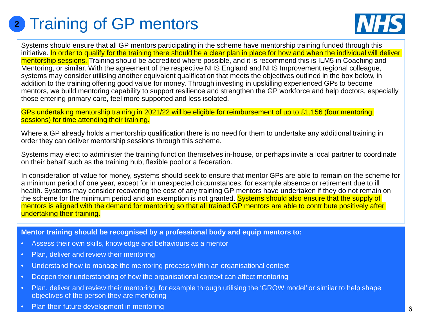# **<sup>2</sup>** Training of GP mentors



Systems should ensure that all GP mentors participating in the scheme have mentorship training funded through this initiative. In order to qualify for the training there should be a clear plan in place for how and when the individual will deliver mentorship sessions. Training should be accredited where possible, and it is recommend this is ILM5 in Coaching and Mentoring, or similar. With the agreement of the respective NHS England and NHS Improvement regional colleague, systems may consider utilising another equivalent qualification that meets the objectives outlined in the box below, in addition to the training offering good value for money. Through investing in upskilling experienced GPs to become mentors, we build mentoring capability to support resilience and strengthen the GP workforce and help doctors, especially those entering primary care, feel more supported and less isolated.

GPs undertaking mentorship training in 2021/22 will be eligible for reimbursement of up to £1,156 (four mentoring sessions) for time attending their training.

Where a GP already holds a mentorship qualification there is no need for them to undertake any additional training in order they can deliver mentorship sessions through this scheme.

Systems may elect to administer the training function themselves in-house, or perhaps invite a local partner to coordinate on their behalf such as the training hub, flexible pool or a federation.

In consideration of value for money, systems should seek to ensure that mentor GPs are able to remain on the scheme for a minimum period of one year, except for in unexpected circumstances, for example absence or retirement due to ill health. Systems may consider recovering the cost of any training GP mentors have undertaken if they do not remain on the scheme for the minimum period and an exemption is not granted. Systems should also ensure that the supply of mentors is aligned with the demand for mentoring so that all trained GP mentors are able to contribute positively after undertaking their training.

**Mentor training should be recognised by a professional body and equip mentors to:**

- Assess their own skills, knowledge and behaviours as a mentor
- Plan, deliver and review their mentoring
- Understand how to manage the mentoring process within an organisational context
- Deepen their understanding of how the organisational context can affect mentoring
- Plan, deliver and review their mentoring, for example through utilising the 'GROW model' or similar to help shape objectives of the person they are mentoring
- Plan their future development in mentoring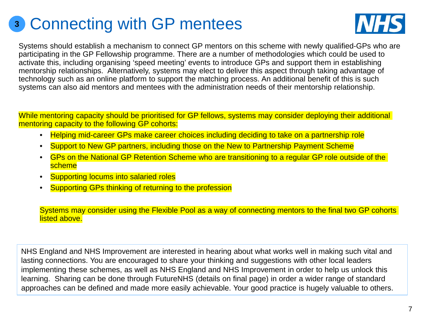### **<sup>3</sup>** Connecting with GP mentees



Systems should establish a mechanism to connect GP mentors on this scheme with newly qualified-GPs who are participating in the GP Fellowship programme. There are a number of methodologies which could be used to activate this, including organising 'speed meeting' events to introduce GPs and support them in establishing mentorship relationships. Alternatively, systems may elect to deliver this aspect through taking advantage of technology such as an online platform to support the matching process. An additional benefit of this is such systems can also aid mentors and mentees with the administration needs of their mentorship relationship.

While mentoring capacity should be prioritised for GP fellows, systems may consider deploying their additional mentoring capacity to the following GP cohorts:

- Helping mid-career GPs make career choices including deciding to take on a partnership role
- Support to New GP partners, including those on the New to Partnership Payment Scheme
- GPs on the National GP Retention Scheme who are transitioning to a regular GP role outside of the scheme
- Supporting locums into salaried roles
- Supporting GPs thinking of returning to the profession

Systems may consider using the Flexible Pool as a way of connecting mentors to the final two GP cohorts listed above.

NHS England and NHS Improvement are interested in hearing about what works well in making such vital and lasting connections. You are encouraged to share your thinking and suggestions with other local leaders implementing these schemes, as well as NHS England and NHS Improvement in order to help us unlock this learning. Sharing can be done through FutureNHS (details on final page) in order a wider range of standard approaches can be defined and made more easily achievable. Your good practice is hugely valuable to others.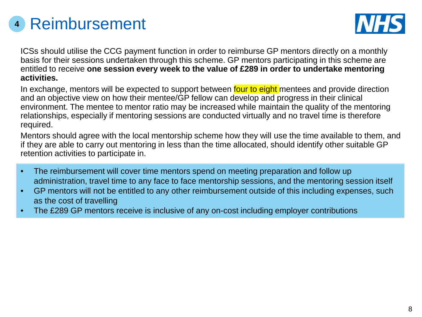# Reimbursement **<sup>4</sup>**



ICSs should utilise the CCG payment function in order to reimburse GP mentors directly on a monthly basis for their sessions undertaken through this scheme. GP mentors participating in this scheme are entitled to receive **one session every week to the value of £289 in order to undertake mentoring activities.**

In exchange, mentors will be expected to support between four to eight mentees and provide direction and an objective view on how their mentee/GP fellow can develop and progress in their clinical environment. The mentee to mentor ratio may be increased while maintain the quality of the mentoring relationships, especially if mentoring sessions are conducted virtually and no travel time is therefore required.

Mentors should agree with the local mentorship scheme how they will use the time available to them, and if they are able to carry out mentoring in less than the time allocated, should identify other suitable GP retention activities to participate in.

- The reimbursement will cover time mentors spend on meeting preparation and follow up administration, travel time to any face to face mentorship sessions, and the mentoring session itself
- GP mentors will not be entitled to any other reimbursement outside of this including expenses, such as the cost of travelling
- The £289 GP mentors receive is inclusive of any on-cost including employer contributions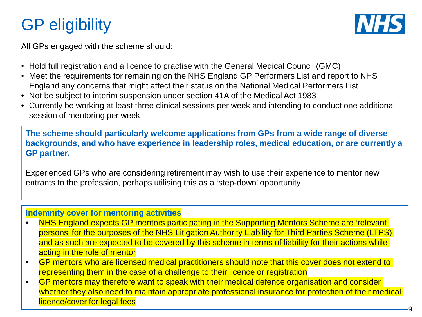# GP eligibility



All GPs engaged with the scheme should:

- Hold full registration and a licence to practise with the General Medical Council (GMC)
- Meet the requirements for remaining on the NHS England GP Performers List and report to NHS England any concerns that might affect their status on the National Medical Performers List
- Not be subject to interim suspension under section 41A of the Medical Act 1983
- Currently be working at least three clinical sessions per week and intending to conduct one additional session of mentoring per week

**The scheme should particularly welcome applications from GPs from a wide range of diverse backgrounds, and who have experience in leadership roles, medical education, or are currently a GP partner.**

Experienced GPs who are considering retirement may wish to use their experience to mentor new entrants to the profession, perhaps utilising this as a 'step-down' opportunity

### **Indemnity cover for mentoring activities**

- NHS England expects GP mentors participating in the Supporting Mentors Scheme are 'relevant persons' for the purposes of the NHS Litigation Authority Liability for Third Parties Scheme (LTPS) and as such are expected to be covered by this scheme in terms of liability for their actions while acting in the role of mentor
- GP mentors who are licensed medical practitioners should note that this cover does not extend to representing them in the case of a challenge to their licence or registration
- GP mentors may therefore want to speak with their medical defence organisation and consider whether they also need to maintain appropriate professional insurance for protection of their medical licence/cover for legal fees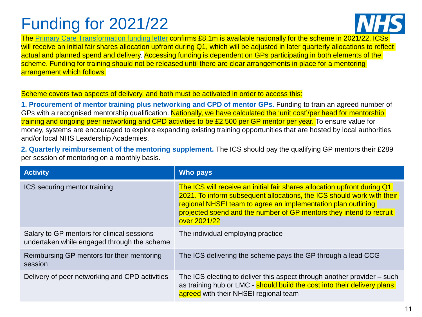# Funding for 2021/22



The [Primary Care Transformation funding letter](https://www.england.nhs.uk/publication/primary-care-sdf-and-gpit-funding-guidance-analysis-of-programmes-and-funding-in-2021-22/) confirms £8.1m is available nationally for the scheme in 2021/22. ICSs will receive an initial fair shares allocation upfront during Q1, which will be adjusted in later quarterly allocations to reflect actual and planned spend and delivery. Accessing funding is dependent on GPs participating in both elements of the scheme. Funding for training should not be released until there are clear arrangements in place for a mentoring arrangement which follows.

#### Scheme covers two aspects of delivery, and both must be activated in order to access this:

**1. Procurement of mentor training plus networking and CPD of mentor GPs.** Funding to train an agreed number of GPs with a recognised mentorship qualification. Nationally, we have calculated the 'unit cost'/per head for mentorship training and ongoing peer networking and CPD activities to be £2,500 per GP mentor per year. To ensure value for money, systems are encouraged to explore expanding existing training opportunities that are hosted by local authorities and/or local NHS Leadership Academies.

**2. Quarterly reimbursement of the mentoring supplement.** The ICS should pay the qualifying GP mentors their £289 per session of mentoring on a monthly basis.

| <b>Activity</b>                                                                           | Who pays                                                                                                                                                                                                                                                                                                   |
|-------------------------------------------------------------------------------------------|------------------------------------------------------------------------------------------------------------------------------------------------------------------------------------------------------------------------------------------------------------------------------------------------------------|
| ICS securing mentor training                                                              | The ICS will receive an initial fair shares allocation upfront during Q1<br>2021. To inform subsequent allocations, the ICS should work with their<br>regional NHSEI team to agree an implementation plan outlining<br>projected spend and the number of GP mentors they intend to recruit<br>over 2021/22 |
| Salary to GP mentors for clinical sessions<br>undertaken while engaged through the scheme | The individual employing practice                                                                                                                                                                                                                                                                          |
| Reimbursing GP mentors for their mentoring<br>session                                     | The ICS delivering the scheme pays the GP through a lead CCG                                                                                                                                                                                                                                               |
| Delivery of peer networking and CPD activities                                            | The ICS electing to deliver this aspect through another provider - such<br>as training hub or LMC - should build the cost into their delivery plans<br>agreed with their NHSEI regional team                                                                                                               |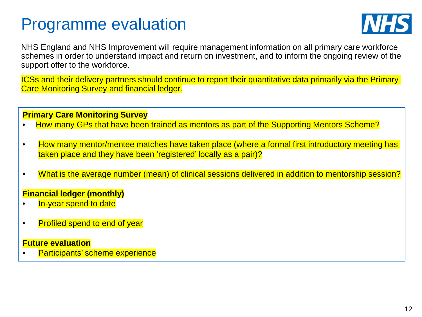### Programme evaluation



NHS England and NHS Improvement will require management information on all primary care workforce schemes in order to understand impact and return on investment, and to inform the ongoing review of the support offer to the workforce.

ICSs and their delivery partners should continue to report their quantitative data primarily via the Primary Care Monitoring Survey and financial ledger.

#### **Primary Care Monitoring Survey**

- How many GPs that have been trained as mentors as part of the Supporting Mentors Scheme?
- How many mentor/mentee matches have taken place (where a formal first introductory meeting has taken place and they have been 'registered' locally as a pair)?
- What is the average number (mean) of clinical sessions delivered in addition to mentorship session?

### **Financial ledger (monthly)**

- In-year spend to date
- Profiled spend to end of year

#### **Future evaluation**

Participants' scheme experience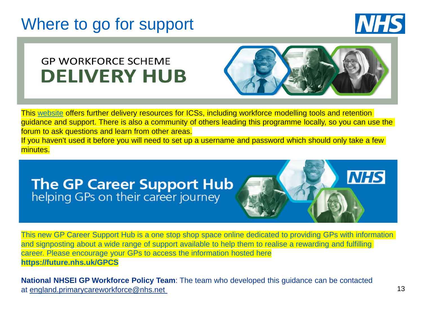### Where to go for support



### **GP WORKFORCE SCHEME DELIVERY HUB**



This [website](https://future.nhs.uk/NationalGPWorkforceDelivery/grouphome) offers further delivery resources for ICSs, including workforce modelling tools and retention guidance and support. There is also a community of others leading this programme locally, so you can use the forum to ask questions and learn from other areas. If you haven't used it before you will need to set up a username and password which should only take a few minutes.

# **The GP Career Support Hub**<br>helping GPs on their career journey



This new GP Career Support Hub is a one stop shop space online dedicated to providing GPs with information and signposting about a wide range of support available to help them to realise a rewarding and fulfilling career. Please encourage your GPs to access the information hosted here **https://future.nhs.uk/GPCS**

**National NHSEI GP Workforce Policy Team**: The team who developed this guidance can be contacted at [england.primarycareworkforce@nhs.net](mailto:england.primarycareworkforce@nhs.net)